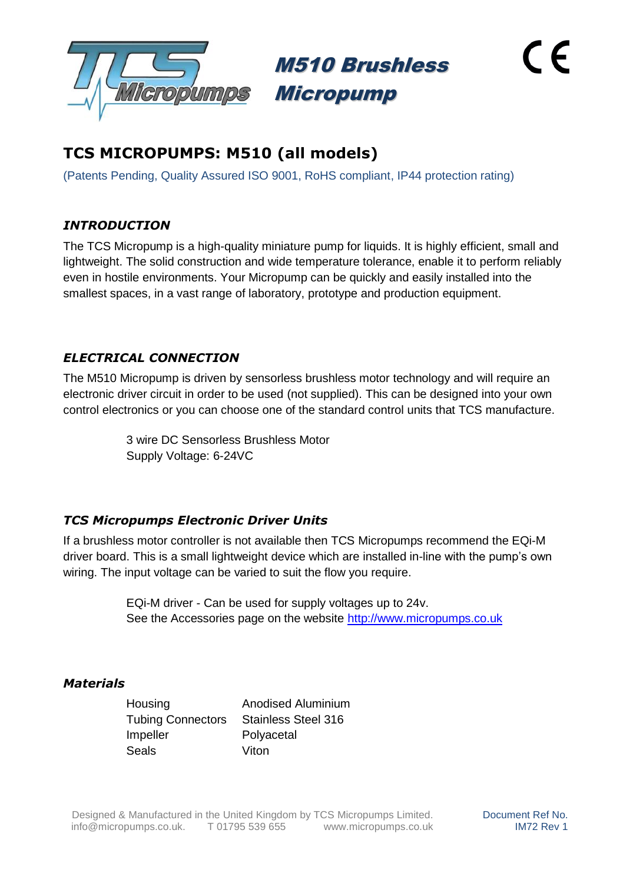

M510 Brushless Micropump

# **TCS MICROPUMPS: M510 (all models)**

(Patents Pending, Quality Assured ISO 9001, RoHS compliant, IP44 protection rating)

## *INTRODUCTION*

The TCS Micropump is a high-quality miniature pump for liquids. It is highly efficient, small and lightweight. The solid construction and wide temperature tolerance, enable it to perform reliably even in hostile environments. Your Micropump can be quickly and easily installed into the smallest spaces, in a vast range of laboratory, prototype and production equipment.

### *ELECTRICAL CONNECTION*

The M510 Micropump is driven by sensorless brushless motor technology and will require an electronic driver circuit in order to be used (not supplied). This can be designed into your own control electronics or you can choose one of the standard control units that TCS manufacture.

> 3 wire DC Sensorless Brushless Motor Supply Voltage: 6-24VC

### *TCS Micropumps Electronic Driver Units*

If a brushless motor controller is not available then TCS Micropumps recommend the EQi-M driver board. This is a small lightweight device which are installed in-line with the pump's own wiring. The input voltage can be varied to suit the flow you require.

> EQi-M driver - Can be used for supply voltages up to 24v. See the Accessories page on the website [http://www.micropumps.co.uk](http://www.micropumps.co.uk/)

### *Materials*

Housing Anodised Aluminium Tubing Connectors Stainless Steel 316 Impeller Polyacetal Seals Viton